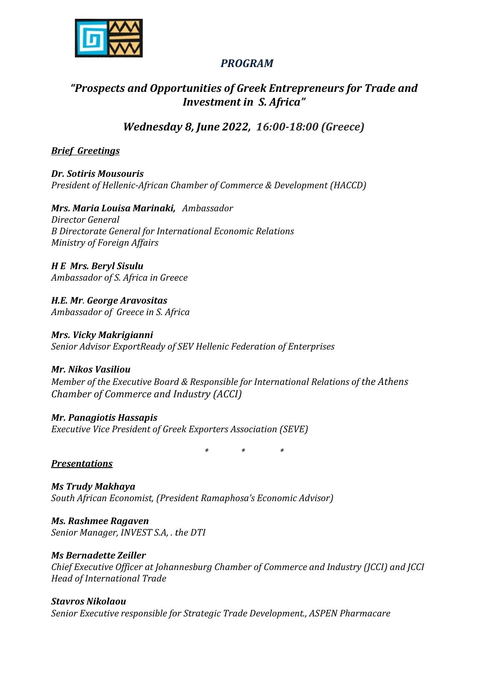

## PROGRAM

# "Prospects and Opportunities of Greek Entrepreneurs for Trade and Investment in S. Africa"

Wednesday 8, J June 2022, 16:00-18:00 (Greece)

### Brief Greetings

Dr. Sotiris Mousouris President of Hellenic-African Chamber of Commerce & Development (HACCD)<br>**Mrs. Maria Louisa Marinaki,** Ambassador

Mrs. Maria Louisa Marinaki, Ambassador Director General Β Directorate General for International Economic Relations Ministry of Foreign Affairs

H E Mrs. Beryl Sisulu Ambassador of S. Africa in Greece

H.E. Mr. George Aravositas Ambassador of Greece in S. Africa

Mrs. Vicky Makrigianni Senior Advisor ExportReady of SEV Hellenic Federation of Enterprises

Mr. Nikos Vasiliou Member of the Executive Board & Responsible for International Relations of the Athens Chamber of Commerce and Industry (ACCI) Chamber of

Mr. Panagiotis Hassapis Executive Vice President of Greek Exporters Association (SEVE) Vice President \* \* \*

### **Presentations**

Ms Trudy Makhaya South African Economist, (President Ramaphosa's Economic Advisor) Economic

Ms. Rashmee Ragaven Senior Manager, INVEST S.A, . the DTI

Ms Bernadette Zeiller Chief Executive Officer at Johannesburg Chamber of Commerce and Industry (JCCI) and JCCI Head of International Trade INVEST S.A, . the DTI<br>**Zeiller**<br>fficer at Johannesburg Chamber of Commerce and Industry (JCCI) and<br>ional Trade<br>**u**<br>responsible for Strategic Trade Development., ASPEN Pharmacare

Stavros Nikolaou Senior Executive responsible for Strategic Trade Development.